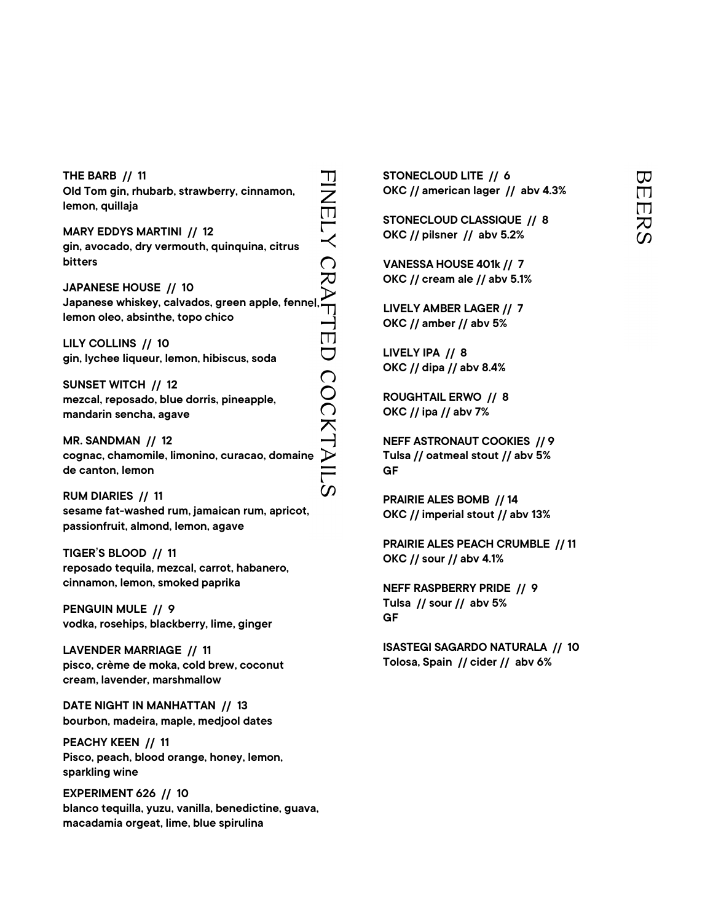THE BARB // 11 THE BARB // 11<br>
Old Tom gin, rhubarb, strawberry, cinnamon,<br>
lemon, quillaja<br>
MARY EDDYS MARTINI // 12<br>
gin, avocado, dry vermouth, quinquina, citrus<br>
bitters<br>
JAPANESE HOUSE // 10<br>
Japanese whiskey, calvados, green apple, lemon, quillaja MARY EDDYS MARTINI // 12 gin, avocado, dry vermouth, quinquina, citrus bitters JAPANESE HOUSE // 10 Japanese whiskey, calvados, green apple, fennel, lemon oleo, absinthe, topo chico LILY COLLINS // 10 gin, lychee liqueur, lemon, hibiscus, soda SUNSET WITCH // 12 mezcal, reposado, blue dorris, pineapple, mandarin sencha, agave MR. SANDMAN // 12 cognac, chamomile, limonino, curacao, domaine de canton, lemon

RUM DIARIES // 11 sesame fat-washed rum, jamaican rum, apricot, passionfruit, almond, lemon, agave

TIGER'S BLOOD // 11 reposado tequila, mezcal, carrot, habanero, cinnamon, lemon, smoked paprika

PENGUIN MULE // 9 vodka, rosehips, blackberry, lime, ginger

LAVENDER MARRIAGE // 11 pisco, crème de moka, cold brew, coconut cream, lavender, marshmallow

DATE NIGHT IN MANHATTAN // 13 bourbon, madeira, maple, medjool dates

PEACHY KEEN // 11 Pisco, peach, blood orange, honey, lemon, sparkling wine

EXPERIMENT 626 // 10 blanco tequilla, yuzu, vanilla, benedictine, guava, macadamia orgeat, lime, blue spirulina

STONECLOUD LITE // 6 OKC // american lager // abv 4.3%

STONECLOUD CLASSIQUE // 8 OKC // pilsner // abv 5.2%

VANESSA HOUSE 401k // 7 OKC // cream ale // abv 5.1%

LIVELY AMBER LAGER // 7 OKC // amber // abv 5%

LIVELY IPA // 8 OKC // dipa // abv 8.4%

ROUGHTAIL ERWO // 8 OKC // ipa // abv 7%

NEFF ASTRONAUT COOKIES // 9 Tulsa // oatmeal stout // abv 5% GF TONECLOUD LITE // 6<br>
OKC // american lager // abv 4.3%<br>
TONECLOUD CLASSIQUE // 8<br>
TONECLOUD CLASSIQUE // 8<br>
VANESSA HOUSE 401k // 7<br>
OKC // cream ale // abv 5.1%<br>
LIVELY AMBER LAGER // 7<br>
COC // amber // abv 5.1%<br>
TONECLY

PRAIRIE ALES BOMB // 14 OKC // imperial stout // abv 13%

PRAIRIE ALES PEACH CRUMBLE // 11 OKC // sour // abv 4.1%

NEFF RASPBERRY PRIDE // 9 Tulsa // sour // abv 5% GF

ISASTEGI SAGARDO NATURALA // 10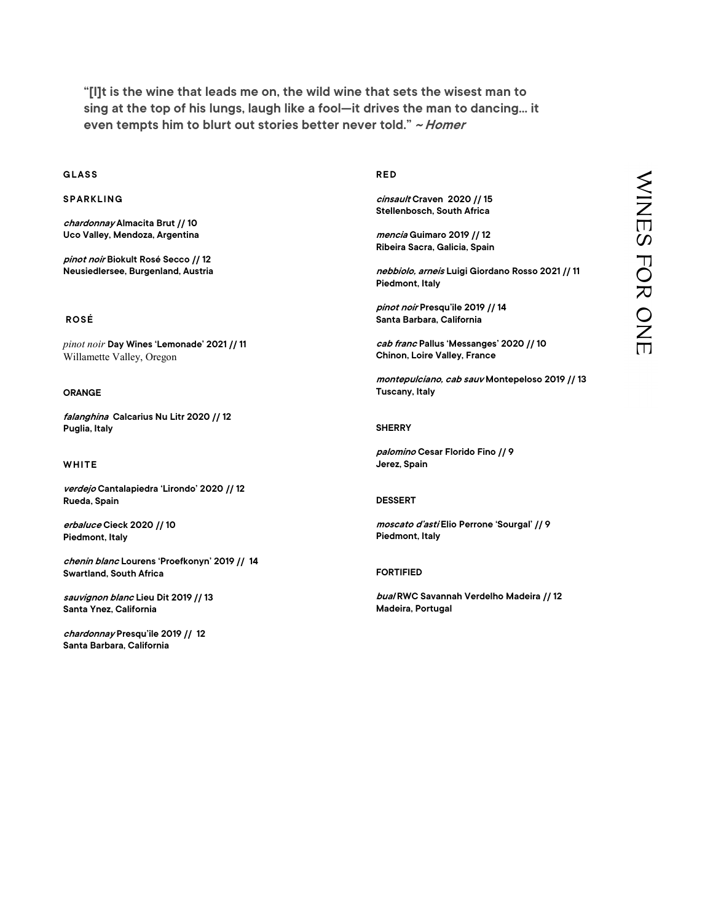"[I]t is the wine that leads me on, the wild wine that sets the wisest man to sing at the top of his lungs, laugh like a fool—it drives the man to dancing… it even tempts him to blurt out stories better never told." ~ Homer "[I]t is the wine that leads me on, the sing at the top of his lungs, laugh<br>even tempts him to blurt out storing<br>GLASS<br>SPARKLING<br>chardonnay Almacita Brut // 10 "[I]t is the wine that leads me on, the<br>sing at the top of his lungs, laugh like<br>even tempts him to blurt out stories<br>GLASS<br>SPARKLING<br>*chardonnay* Almacita Brut // 10<br>Uco Valley, Mendoza, Argentina

chardonnay Almacita Brut // 10 Uco Valley, Mendoza, Argentina

pinot noir Biokult Rosé Secco // 12 Neusiedlersee, Burgenland, Austria

# ROSÉ

pinot noir Day Wines 'Lemonade' 2021 // 11 Willamette Valley, Oregon pinot noir **Day Wines 'Lemonade' 2021 // 11**<br>Willamette Valley, Oregon<br>**ORANGE**<br>f*alanghina* Calcarius Nu Litr 2020 // 12<br>Puglia, Italy<br>WHITE<br>*verdejo* Cantalapiedra 'Lirondo' 2020 // 12<br>Rueda, Spain

# ORANGE

falanghina Calcarius Nu Litr 2020 // 12 Puglia, Italy

verdejo Cantalapiedra 'Lirondo' 2020 // 12 Rueda, Spain

erbaluce Cieck 2020 // 10 Piedmont, Italy

chenin blanc Lourens 'Proefkonyn' 2019 // 14 Swartland, South Africa

sauvignon blanc Lieu Dit 2019 // 13 Santa Ynez, California

chardonnay Presqu'ile 2019 // 12 Santa Barbara, California

# RED

cinsault Craven 2020 // 15 Stellenbosch, South Africa

mencia Guimaro 2019 // 12 Ribeira Sacra, Galicia, Spain

nebbiolo, arneis Luigi Giordano Rosso 2021 // 11 Piedmont, Italy

pinot noir Presqu'ile 2019 // 14 Santa Barbara, California

cab franc Pallus 'Messanges' 2020 // 10 Chinon, Loire Valley, France

montepulciano, cab sauv Montepeloso 2019 // 13 Tuscany, Italy RED<br>
Cinsault Craven 2020 //15<br>
Stellenbosch, South Africa<br>
mencia Guimaro 2019 //12<br>
Ribeira Sacra, Galicia, Spain<br>
mebbiolo, armeis Luigi Giordano Rosso 2021 // 11<br>
Piedmont, Italy<br>
pinot noir Presqu'ile 2019 // 14<br>
Sant

## **SHERRY**

palomino Cesar Florido Fino // 9 Jerez, Spain

## DESSERT

moscato d'asti Elio Perrone 'Sourgal' // 9 Piedmont, Italy

# FORTIFIED

bual RWC Savannah Verdelho Madeira // 12<br>Madeira, Portugal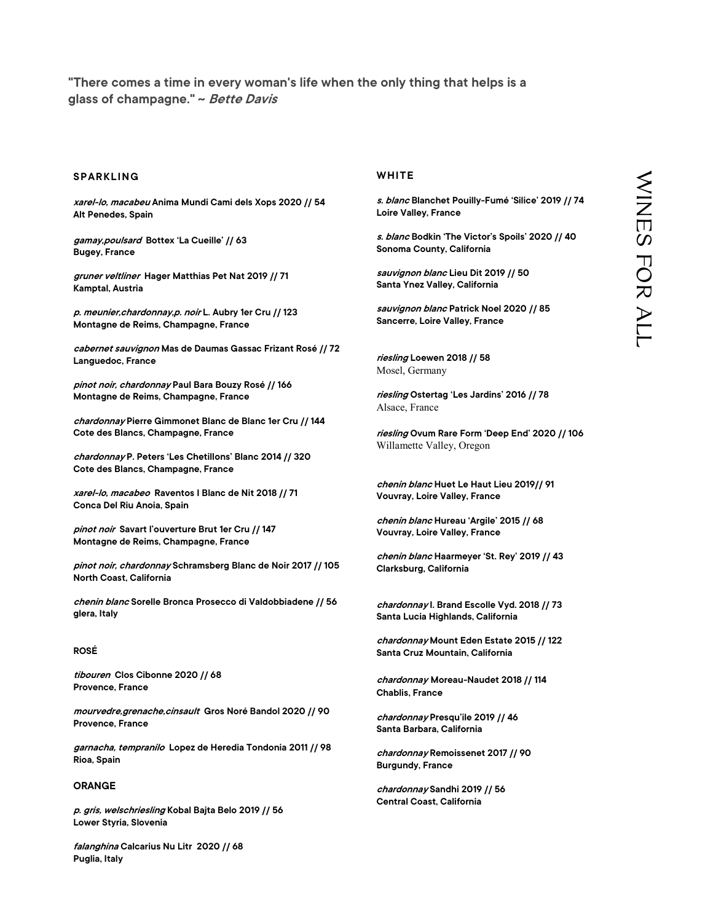"There comes a time in every woman's life when the only thing that helps is a glass of champagne." ~ Bette Davis There comes a time in every woman's life<br>|lass of champagne." ~ *Bette Davis*<br>|<br>|SPARKLING<br>|<br>|Alt Penedes, Spain

xarel-lo, macabeu Anima Mundi Cami dels Xops 2020 // 54 Alt Penedes, Spain

gamay,poulsard Bottex 'La Cueille' // 63 Bugey, France

gruner veltliner Hager Matthias Pet Nat 2019 // 71 Kamptal, Austria

p. meunier,chardonnay,p. noir L. Aubry 1er Cru // 123 Montagne de Reims, Champagne, France

cabernet sauvignon Mas de Daumas Gassac Frizant Rosé // 72 Languedoc, France

pinot noir, chardonnay Paul Bara Bouzy Rosé // 166 Montagne de Reims, Champagne, France

chardonnay Pierre Gimmonet Blanc de Blanc 1er Cru // 144 Cote des Blancs, Champagne, France

chardonnay P. Peters 'Les Chetillons' Blanc 2014 // 320 Cote des Blancs, Champagne, France

xarel-lo, macabeo Raventos I Blanc de Nit 2018 // 71 Conca Del Riu Anoia, Spain

pinot noir Savart l'ouverture Brut 1er Cru // 147 Montagne de Reims, Champagne, France

pinot noir, chardonnay Schramsberg Blanc de Noir 2017 // 105 North Coast, California

chenin blanc Sorelle Bronca Prosecco di Valdobbiadene // 56 glera, Italy

# ROSÉ

tibouren Clos Cibonne 2020 // 68 Provence, France

mourvedre,grenache,cinsault Gros Noré Bandol 2020 // 90 Provence, France

garnacha, tempranilo Lopez de Heredia Tondonia 2011 // 98 Rioa, Spain

# ORANGE

p. gris, welschriesling Kobal Bajta Belo 2019 // 56 Lower Styria, Slovenia

falanghina Calcarius Nu Litr 2020 // 68 Puglia, Italy

# WHITE

s. blanc Blanchet Pouilly-Fumé 'Silice' 2019 // 74 Loire Valley, France

s. blanc Bodkin 'The Victor's Spoils' 2020 // 40 Sonoma County, California

sauvignon blanc Lieu Dit 2019 // 50 Santa Ynez Valley, California

sauvignon blanc Patrick Noel 2020 // 85 Sancerre, Loire Valley, France

riesling Loewen 2018 // 58 Mosel, Germany

riesling Ostertag 'Les Jardins' 2016 // 78 Alsace, France

riesling Ovum Rare Form 'Deep End' 2020 // 106 Willamette Valley, Oregon WHITE<br>
S. *blanc* Blanchet Pouilly-Fumé 'Silice' 2019 // 74<br>
S. *blanc* Bodkin 'The Victor's Spoils' 2020 // 40<br>
Sonoma County, California<br>
Sonoma County, California<br>
Sonoma County, California<br>
Sanyignon blanc Lieu Dit 201

chenin blanc Huet Le Haut Lieu 2019// 91 Vouvray, Loire Valley, France

chenin blanc Hureau 'Argile' 2015 // 68 Vouvray, Loire Valley, France

chenin blanc Haarmeyer 'St. Rey' 2019 // 43 Clarksburg, California

chardonnay I. Brand Escolle Vyd. 2018 // 73 Santa Lucia Highlands, California

chardonnay Mount Eden Estate 2015 // 122 Santa Cruz Mountain, California

chardonnay Moreau-Naudet 2018 // 114 Chablis, France

chardonnay Presqu'ile 2019 // 46 Santa Barbara, California

chardonnay Remoissenet 2017 // 90 Burgundy, France

chardonnay Sandhi 2019 // 56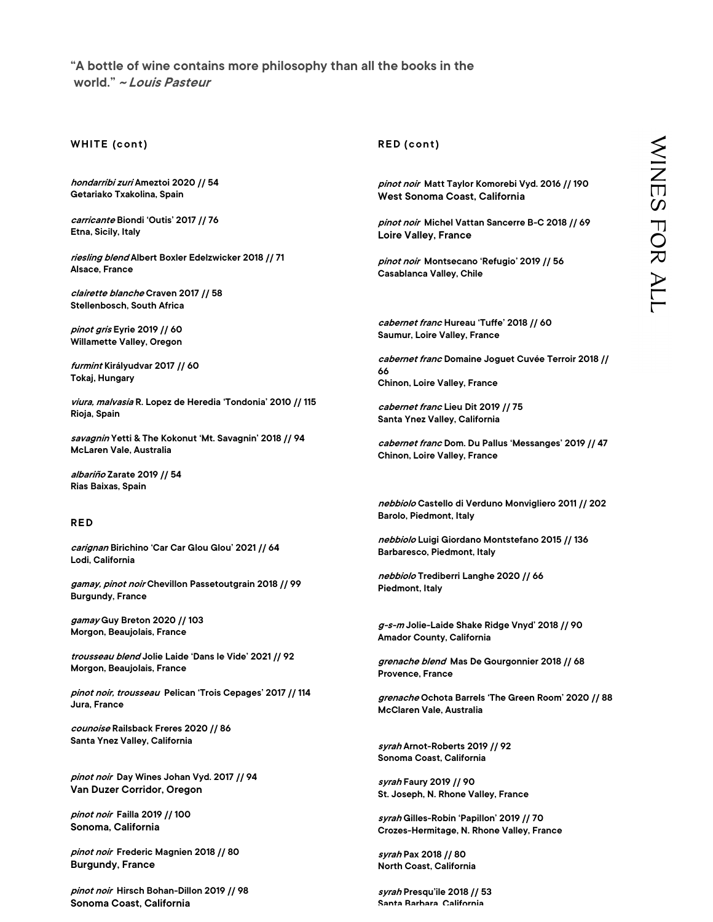# "A bottle of wine contains more philosophy than all the books in the world." ~ Louis Pasteur "A bottle of wine contains more philosop<br>world." *~ Louis Pasteur*<br>WHITE (cont)<br>*hondarribi zuri* Ameztoi 2020 // 54<br>Getariako Txakolina, Spain

hondarribi zuri Ameztoi 2020 // 54 Getariako Txakolina, Spain

carricante Biondi 'Outis' 2017 // 76 Etna, Sicily, Italy

riesling blend Albert Boxler Edelzwicker 2018 // 71 Alsace, France

clairette blanche Craven 2017 // 58 Stellenbosch, South Africa

pinot gris Eyrie 2019 // 60 Willamette Valley, Oregon

furmint Királyudvar 2017 // 60 Tokaj, Hungary

viura, malvasia R. Lopez de Heredia 'Tondonia' 2010 // 115 Rioja, Spain

savagnin Yetti & The Kokonut 'Mt. Savagnin' 2018 // 94 McLaren Vale, Australia

albariño Zarate 2019 // 54 Rias Baixas, Spain

# **RED**

carignan Birichino 'Car Car Glou Glou' 2021 // 64 Lodi, California

gamay, pinot noir Chevillon Passetoutgrain 2018 // 99 Burgundy, France

gamay Guy Breton 2020 // 103 Morgon, Beaujolais, France

trousseau blend Jolie Laide 'Dans le Vide' 2021 // 92 Morgon, Beaujolais, France

pinot noir, trousseau Pelican 'Trois Cepages' 2017 // 114 Jura, France

counoise Railsback Freres 2020 // 86 Santa Ynez Valley, California

pinot noir Day Wines Johan Vyd. 2017 // 94 Van Duzer Corridor, Oregon

pinot noir Failla 2019 // 100 Sonoma, California

pinot noir Frederic Magnien 2018 // 80 Burgundy, France

pinot noir Hirsch Bohan-Dillon 2019 // 98 Sonoma Coast, California

# RED (cont)

pinot noir Matt Taylor Komorebi Vyd. 2016 // 190 West Sonoma Coast, California

pinot noir Michel Vattan Sancerre B-C 2018 // 69 Loire Valley, France

pinot noir Montsecano 'Refugio' 2019 // 56 Casablanca Valley, Chile

cabernet franc Hureau 'Tuffe' 2018 // 60 Saumur, Loire Valley, France

cabernet franc Domaine Joguet Cuvée Terroir 2018 // 66 Chinon, Loire Valley, France RED (cont)<br>
Santa Ray Matt Taylor Komerebi Vyd. 2016 // 190<br>
West Sonoma Coast, California<br>
Wiest Sonoma Coast, California<br>
Coire Valley, France<br>
Coire Valley, France<br>
Coire Valley, France<br>
Santa Valley, Chile<br>
Coire Valle

cabernet franc Lieu Dit 2019 // 75 Santa Ynez Valley, California

cabernet franc Dom. Du Pallus 'Messanges' 2019 // 47 Chinon, Loire Valley, France

nebbiolo Castello di Verduno Monvigliero 2011 // 202 Barolo, Piedmont, Italy

nebbiolo Luigi Giordano Montstefano 2015 // 136 Barbaresco, Piedmont, Italy

nebbiolo Trediberri Langhe 2020 // 66 Piedmont, Italy

g-s-m Jolie-Laide Shake Ridge Vnyd' 2018 // 90 Amador County, California

grenache blend Mas De Gourgonnier 2018 // 68 Provence, France

grenache Ochota Barrels 'The Green Room' 2020 // 88 McClaren Vale, Australia

syrah Arnot-Roberts 2019 // 92 Sonoma Coast, California

syrah Faury 2019 // 90 St. Joseph, N. Rhone Valley, France

syrah Gilles-Robin 'Papillon' 2019 // 70 Crozes-Hermitage, N. Rhone Valley, France

syrah Pax 2018 // 80 North Coast, California

s*yrah* Presqu'ile 2018 // 53<br>Santa Barbara, California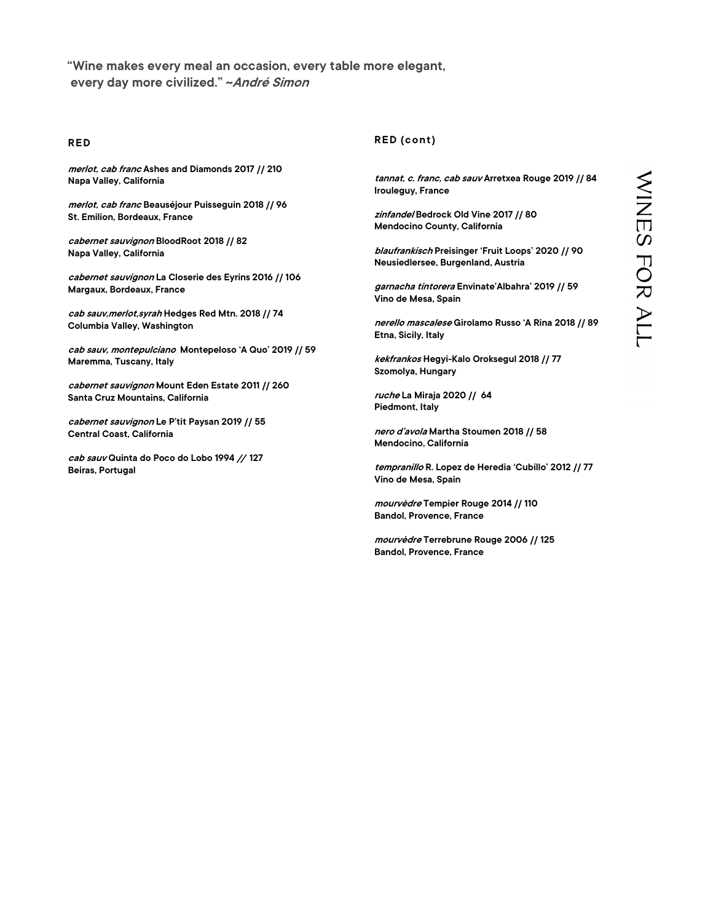"Wine makes every meal an occasion, every table more elegant, every day more civilized." ~André Simon "Wine makes every meal an occasio<br>every day more civilized." ~*André S*<br>RED<br>*merlot, cab franc* Ashes and Diamonds 2017 // 21<br>Napa Valley, California

merlot, cab franc Ashes and Diamonds 2017 // 210 Napa Valley, California

merlot, cab franc Beauséjour Puisseguin 2018 // 96 St. Emilion, Bordeaux, France

cabernet sauvignon BloodRoot 2018 // 82 Napa Valley, California

cabernet sauvignon La Closerie des Eyrins 2016 // 106 Margaux, Bordeaux, France

cab sauv, merlot, syrah Hedges Red Mtn. 2018 // 74 Columbia Valley, Washington

New York (m), distinguish the main of the state of the state of the state of the state of the state of the state of the state of the state of the state of the state of the state of the state of the state of the state of t cab sauv, montepulciano Montepeloso 'A Quo' 2019 // 59 Maremma, Tuscany, Italy

cabernet sauvignon Mount Eden Estate 2011 // 260 Santa Cruz Mountains, California

cabernet sauvignon Le P'tit Paysan 2019 // 55 Central Coast, California

cab sauv Quinta do Poco do Lobo 1994 // 127 Beiras, Portugal

# RED (cont)

tannat, *c. franc, cab sauv* Arretxea Rouge 2019 // 84<br>
Irouleguy, France<br> *zinfande*/Bedrock Old Vine 2017 // 80<br>
Mendocino County, California<br> *blaufrankisch* Preisinger 'Fruit Loops' 2020 // 90<br>
Meusiedlersee, Burgenlan Irouleguy, France

zinfande/Bedrock Old Vine 2017 // 80 Mendocino County, California

blaufrankisch Preisinger 'Fruit Loops' 2020 // 90 Neusiedlersee, Burgenland, Austria

garnacha tintorera Envinate'Albahra' 2019 // 59 Vino de Mesa, Spain

nerello mascalese Girolamo Russo 'A Rina 2018 // 89 Etna, Sicily, Italy

kekfrankos Hegyi-Kalo Oroksegul 2018 // 77 Szomolya, Hungary

ruche La Miraja 2020 // 64 Piedmont, Italy

nero d'avola Martha Stoumen 2018 // 58 Mendocino, California

tempranillo R. Lopez de Heredia 'Cubillo' 2012 // 77 Vino de Mesa, Spain

mourvèdre Tempier Rouge 2014 // 110 Bandol, Provence, France

mourvèdre Terrebrune Rouge 2006 // 125 Bandol, Provence, France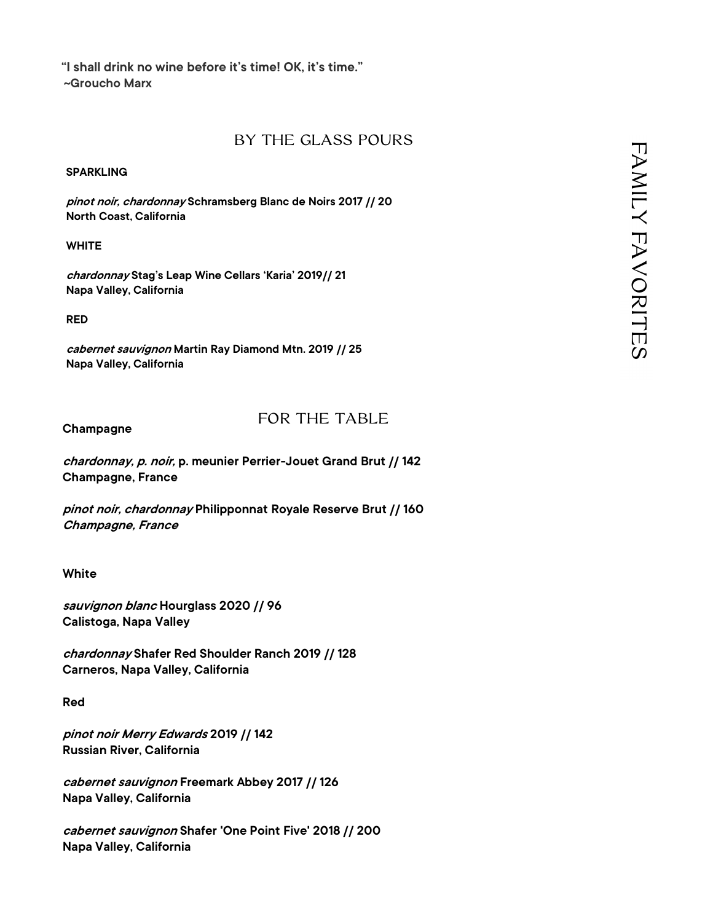"I shall drink no wine before it's time! OK, it's time." ~Groucho Marx

# BY THE GLASS POURS

# **SPARKLING**

pinot noir, chardonnay Schramsberg Blanc de Noirs 2017 // 20 North Coast, California

# **WHITE**

chardonnay Stag's Leap Wine Cellars 'Karia' 2019// 21 Napa Valley, California

RED

cabernet sauvignon Martin Ray Diamond Mtn. 2019 // 25 Napa Valley, California

Champagne

# FOR THE TABLE

chardonnay, p. noir, p. meunier Perrier-Jouet Grand Brut // 142 Champagne, France

pinot noir, chardonnay Philipponnat Royale Reserve Brut // 160 Champagne, France

White

sauvignon blanc Hourglass 2020 // 96 Calistoga, Napa Valley

chardonnay Shafer Red Shoulder Ranch 2019 // 128 Carneros, Napa Valley, California

Red

pinot noir Merry Edwards 2019 // 142 Russian River, California

cabernet sauvignon Freemark Abbey 2017 // 126 Napa Valley, California

cabernet sauvignon Shafer 'One Point Five' 2018 // 200 Napa Valley, California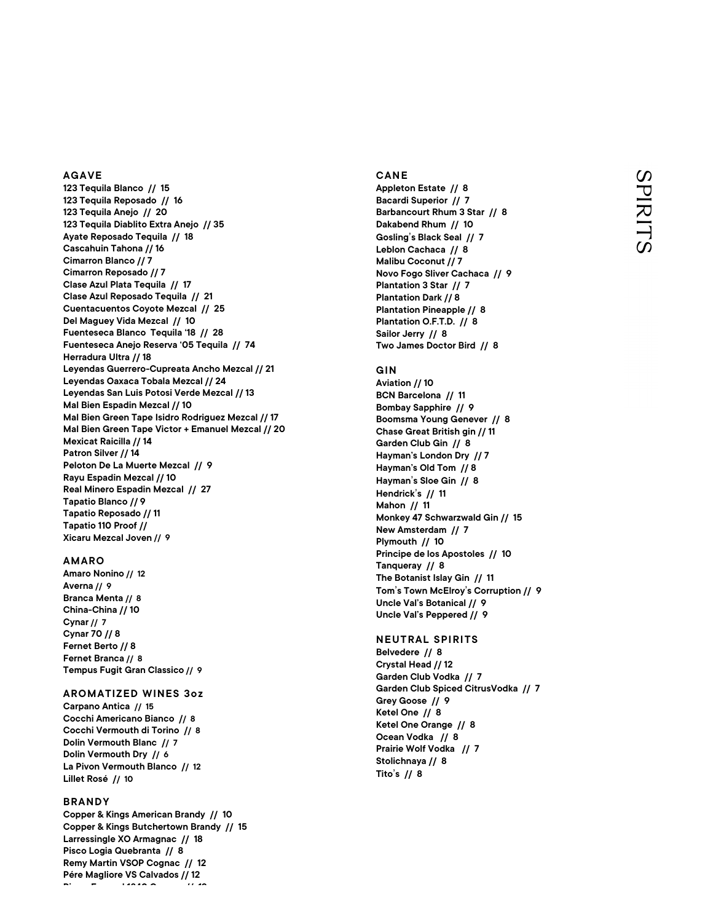# AGAVE

123 Tequila Blanco // 15 123 Tequila Reposado // 16 123 Tequila Anejo // 20 123 Tequila Diablito Extra Anejo // 35 Ayate Reposado Tequila // 18 Cascahuin Tahona // 16 Cimarron Blanco // 7 Cimarron Reposado // 7 Clase Azul Plata Tequila // 17 Clase Azul Reposado Tequila // 21 Cuentacuentos Coyote Mezcal // 25 Del Maguey Vida Mezcal // 10 Fuenteseca Blanco Tequila '18 // 28 Fuenteseca Anejo Reserva '05 Tequila // 74 Herradura Ultra // 18 Leyendas Guerrero-Cupreata Ancho Mezcal // 21 Leyendas Oaxaca Tobala Mezcal // 24 Leyendas San Luis Potosi Verde Mezcal // 13 Mal Bien Espadin Mezcal // 10 Mal Bien Green Tape Isidro Rodriguez Mezcal // 17 Mal Bien Green Tape Victor + Emanuel Mezcal // 20 Mexicat Raicilla // 14 Patron Silver // 14 Peloton De La Muerte Mezcal // 9 Rayu Espadin Mezcal // 10 Real Minero Espadin Mezcal // 27 Tapatio Blanco // 9 Tapatio Reposado // 11 Tapatio 110 Proof // Xicaru Mezcal Joven // 9

# AMARO

Amaro Nonino // 12 Averna // 9 Branca Menta // 8 China-China // 10 Cynar // 7 Cynar 70 // 8 Fernet Berto // 8 Fernet Branca // 8 Tempus Fugit Gran Classico // 9

# AROMATIZED WINES 3oz

Carpano Antica // 15 Cocchi Americano Bianco // 8 Cocchi Vermouth di Torino // 8 Dolin Vermouth Blanc // 7 Dolin Vermouth Dry // 6 La Pivon Vermouth Blanco // 12 Lillet Rosé // 10

# BRANDY

Copper & Kings American Brandy // 10 Copper & Kings Butchertown Brandy // 15 Larressingle XO Armagnac // 18 Pisco Logia Quebranta // 8 Remy Martin VSOP Cognac // 12 Pére Magliore VS Calvados // 12  $P$   $=$   $\frac{1}{2}$   $\frac{1}{2}$   $\frac{1}{2}$   $\frac{1}{2}$   $\frac{1}{2}$   $\frac{1}{2}$   $\frac{1}{2}$   $\frac{1}{2}$   $\frac{1}{2}$   $\frac{1}{2}$   $\frac{1}{2}$   $\frac{1}{2}$   $\frac{1}{2}$   $\frac{1}{2}$   $\frac{1}{2}$   $\frac{1}{2}$   $\frac{1}{2}$   $\frac{1}{2}$   $\frac{1}{2}$   $\frac{1}{2}$   $\frac{1}{2}$   $\frac$ 

CANE<br>Appleton Estate // 8<br>Bacardi Superior // 7<br>Barbancourt Rhum 3 Star // 8<br>Dakabend Rhum // 10 Appleton Estate // 8 Bacardi Superior // 7 Barbancourt Rhum 3 Star // 8 Dakabend Rhum // 10 Gosling's Black Seal // 7 Leblon Cachaca // 8 Malibu Coconut // 7 Novo Fogo Sliver Cachaca // 9 Plantation 3 Star // 7 Plantation Dark // 8 Plantation Pineapple // 8 Plantation O.F.T.D. // 8 Sailor Jerry // 8 Two James Doctor Bird // 8 Leblon Cachaca // 8<br>Malibu Coconut // 7<br>Novo Fogo Sliver Cachaca // 9<br>Plantation 3 Star // 7<br>Plantation Dark // 8<br>Plantation Dineapple // 8<br>Plantation O.F.T.D. // 8<br>Sailor Jerry // 8<br>Two James Doctor Bird // 8<br>GIN<br>Aviation

Aviation // 10 BCN Barcelona // 11 Bombay Sapphire // 9 Boomsma Young Genever // 8 Chase Great British gin // 11 Garden Club Gin // 8 Hayman's London Dry // 7 Hayman's Old Tom // 8 Hayman's Sloe Gin // 8 Hendrick's // 11 Mahon // 11 Monkey 47 Schwarzwald Gin // 15 New Amsterdam // 7 Plymouth // 10 Principe de los Apostoles // 10 Tanqueray // 8 The Botanist Islay Gin // 11 Tom's Town McElroy's Corruption // 9 Uncle Val's Botanical // 9 Uncle Val's Peppered // 9 CANE<br>
CANE<br>
Appleton Estate // 8<br>
Bacardi Superior // 7<br>
Bacardi Superior // 7<br>
Cacing is Black Seal // 7<br>
Cacing Silack Seal // 7<br>
Lebion Cachaca // 8<br>
Lebion Cachaca // 8<br>
Maiou Coconut // 7<br>
Plantation Dats // 7<br>
Plant

# NEUTRAL SPIRITS

Belvedere // 8 Crystal Head // 12 Garden Club Vodka // 7 Garden Club Spiced CitrusVodka // 7 Grey Goose // 9 Ketel One // 8 Ketel One Orange // 8 Ocean Vodka // 8 Prairie Wolf Vodka // 7 Stolichnaya // 8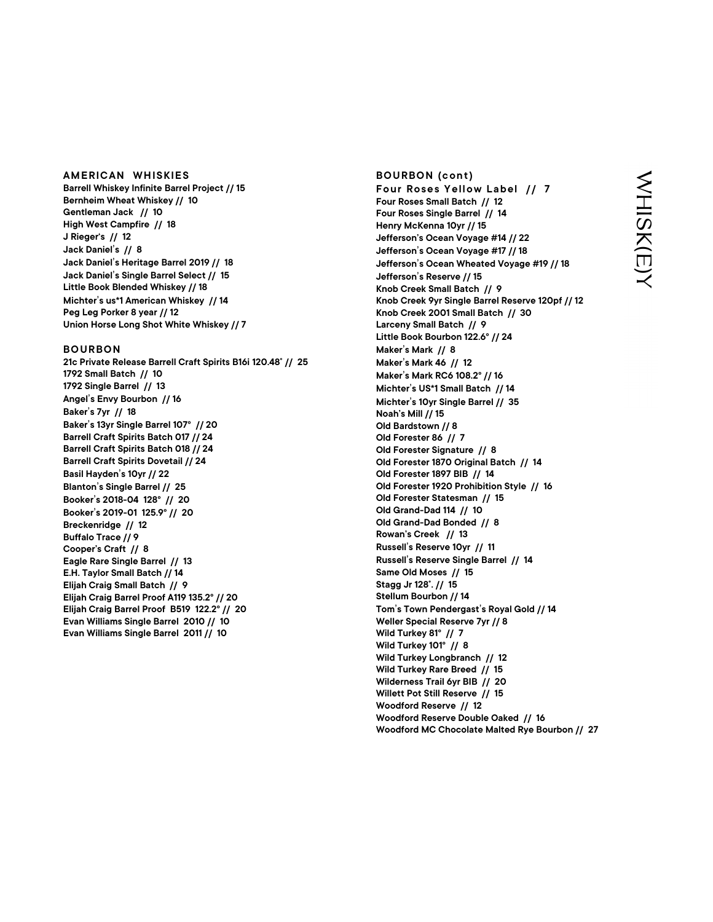AMERICAN WHISKIES<br>Barrell Whiskey Infinite Barrel Project // 15<br>Bernheim Wheat Whiskey // 10<br>Gentleman Jack // 10<br>High West Campfire // 18 Barrell Whiskey Infinite Barrel Project // 15 Bernheim Wheat Whiskey // 10 Gentleman Jack // 10 High West Campfire // 18 J Rieger's // 12 Jack Daniel's // 8 Jack Daniel's Heritage Barrel 2019 // 18 Jack Daniel's Single Barrel Select // 15 Little Book Blended Whiskey // 18 Michter's us\*1 American Whiskey // 14 Peg Leg Porker 8 year // 12 Union Horse Long Shot White Whiskey // 7 High West Campfire // 18<br>J Rieger's // 12<br>Jack Daniel's // 8<br>Jack Daniel's Heritage Barrel 2019 // 18<br>Jack Daniel's Heritage Barrel 2019 // 18<br>Little Book Blended Whiskey // 18<br>Michter's us\*1 American Whiskey // 14<br>Peg Leg

21c Private Release Barrell Craft Spirits B16i 120.48˚ // 25 1792 Small Batch // 10 1792 Single Barrel // 13 Angel's Envy Bourbon // 16 Baker's 7yr // 18 Baker's 13yr Single Barrel 107° // 20 Barrell Craft Spirits Batch 017 // 24 Barrell Craft Spirits Batch 018 // 24 Barrell Craft Spirits Dovetail // 24 Basil Hayden's 10yr // 22 Blanton's Single Barrel // 25 Booker's 2018-04 128° // 20 Booker's 2019-01 125.9° // 20 Breckenridge // 12 Buffalo Trace // 9 Cooper's Craft // 8 Eagle Rare Single Barrel // 13 E.H. Taylor Small Batch // 14 Elijah Craig Small Batch // 9 Elijah Craig Barrel Proof A119 135.2° // 20 Elijah Craig Barrel Proof B519 122.2° // 20 Evan Williams Single Barrel 2010 // 10 Evan Williams Single Barrel 2011 // 10

BOURBON (cont)<br>Four Roses Yellow Label // 7<br>Four Roses Small Batch // 12<br>Four Roses Single Barrel // 14<br>Henry McKenna 10yr // 15 BOURBON (cont)<br>Four Roses Yellow Label // 7<br>Four Roses Small Batch // 12<br>Four Roses Single Barrel // 14<br>Henry McKenna 10yr // 15<br>Jefferson's Ocean Voyage #14 // 22<br>The Marty McKenna 10yr // 15 Four Roses Small Batch // 12 Four Roses Single Barrel // 14 Henry McKenna 10yr // 15 Jefferson's Ocean Voyage #14 // 22 Jefferson's Ocean Voyage #17 // 18 Jefferson's Ocean Wheated Voyage #19 // 18 Jefferson's Reserve // 15 Knob Creek Small Batch // 9 Knob Creek 9yr Single Barrel Reserve 120pf // 12 Knob Creek 2001 Small Batch // 30 Larceny Small Batch // 9 Little Book Bourbon 122.6° // 24 Maker's Mark // 8 Maker's Mark 46 // 12 Maker's Mark RC6 108.2° // 16 Michter's US\*1 Small Batch // 14 Michter's 10yr Single Barrel // 35 Noah's Mill // 15 Old Bardstown // 8 Old Forester 86 // 7 Old Forester Signature // 8 Old Forester 1870 Original Batch // 14 Old Forester 1897 BIB // 14 Old Forester 1920 Prohibition Style // 16 Old Forester Statesman // 15 Old Grand-Dad 114 // 10 Old Grand-Dad Bonded // 8 Rowan's Creek // 13 Russell's Reserve 10yr // 11 Russell's Reserve Single Barrel // 14 Same Old Moses // 15 Stagg Jr 128˚. // 15 Stellum Bourbon // 14 Tom's Town Pendergast's Royal Gold // 14 Weller Special Reserve 7yr // 8 Wild Turkey 81° // 7 Wild Turkey 101° // 8 Wild Turkey Longbranch // 12 Wild Turkey Rare Breed // 15 Wilderness Trail 6yr BIB // 20 Willett Pot Still Reserve // 15 Woodford Reserve // 12 Woodford Reserve Double Oaked // 16<br>Woodford MC Chocolate Malted Rye Bourbon // 27 BOURBON (cont)<br>
Bour Roses Yellow Label // 7<br>
Four Roses Yellow Label // 7<br>
Four Roses Small Battrel // 14<br>
Herry McKenna foyr // 15<br>
Herry McKenna foyr // 15<br>
Jefferson's Ocean Voyage #14 // 22<br>
Jefferson's Ocean Woyage